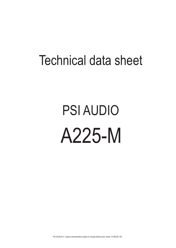## Technical data sheet

## PSI AUDIO A225-M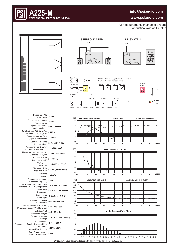## **info@psiaudio.com**



All measurements in anechoic room acoustical axis at 1 meter



**A225-M**

**SWISS MADE BY RELEC SA 1400 YVERDON**



| 200 W                                 | <b>Puissance RMS</b><br>Power RMS                                   |
|---------------------------------------|---------------------------------------------------------------------|
| 300 W                                 | Puissance programme<br>Program power                                |
| Sym, 10k Ohms                         | Impédance d'entrée<br>Input Impedance                               |
| 0.775V                                | Sensibilité pour 100 dB @ 1m<br>Sensivity for 100 dB @ 1m           |
| 116 dBA                               | Rapport signal sur Bruit<br>Signal to Noise Ratio                   |
| 24 Vpp / 20.7 dBu                     | Saturation d'entrée<br>Input Overload                               |
| 111 dB (single)                       | Niveau max. continu, 1m<br>Continuous Max SPL, 1m                   |
| 116dB / half space                    | Niveau max. programme, 1m<br>Program Max SPL, 1m                    |
| 24 - 100 Hz                           | Réponse à -6 dB<br>Response at -6dB                                 |
| ±2 dB (28Hz - 65Hz)                   | Tolérances<br>Tolerances                                            |
| < 1.5% (50Hz-200Hz)                   | <b>Distorsions THD</b><br><b>Distortion THD</b>                     |
| 1 Way(s)                              | Système<br>System                                                   |
| 90Hz                                  | Fréquence de coupure<br>Crossover frequency                         |
| 2 x Ø 258 / Ø 210 mm                  | Ext. / Membrane<br>Dim. basses<br>Woofer's dim.<br>Ext. / Diaphragm |
| $2 \times$ XLR F $/$ 2 $\times$ XLR M | Connecteurs<br>Connectors                                           |
| $1=GND, 2=(+)$ , $3=(-)$              | Signal entrée<br>Signal input                                       |
| MDF / double box                      | Matériaux du boîtier<br><b>Box Material</b>                         |
| 320 x 700 x 500                       | Dimensions boîtier L x H x P mm<br>Dimensions cabinet W x H x D mm  |
| 40.3 / 35.6 Kg                        | Poids brut / net<br>Gross / Net Weight                              |
| 115/230V±10%(50-60}                   | Tension de secteur<br>Voltage                                       |
| $1.7 - 4 - 200$ W                     | Consommation<br>Consumption Standby-Quiescent-Max                   |
| $< 75\%$ / $< 90\%$                   | Humidité Moy / Max<br>Mean / Max Humidity                           |
| $5 - 40 °C$                           | Température externe<br><b>External Temperature</b>                  |

*PSI A225-M s1 / typical characteristics subject to change without prior notice / © RELEC SA.*